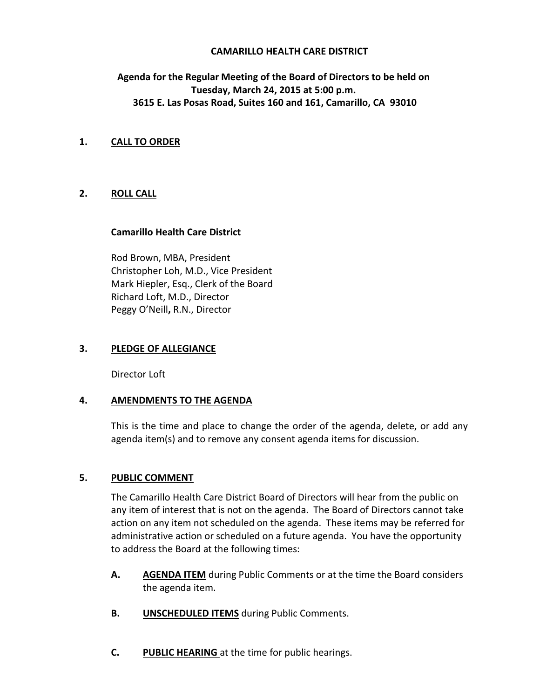## **CAMARILLO HEALTH CARE DISTRICT**

# **Agenda for the Regular Meeting of the Board of Directors to be held on Tuesday, March 24, 2015 at 5:00 p.m. 3615 E. Las Posas Road, Suites 160 and 161, Camarillo, CA 93010**

## **1. CALL TO ORDER**

## **2. ROLL CALL**

## **Camarillo Health Care District**

Rod Brown, MBA, President Christopher Loh, M.D., Vice President Mark Hiepler, Esq., Clerk of the Board Richard Loft, M.D., Director Peggy O'Neill**,** R.N., Director

## **3. PLEDGE OF ALLEGIANCE**

Director Loft

## **4. AMENDMENTS TO THE AGENDA**

This is the time and place to change the order of the agenda, delete, or add any agenda item(s) and to remove any consent agenda items for discussion.

## **5. PUBLIC COMMENT**

The Camarillo Health Care District Board of Directors will hear from the public on any item of interest that is not on the agenda. The Board of Directors cannot take action on any item not scheduled on the agenda. These items may be referred for administrative action or scheduled on a future agenda. You have the opportunity to address the Board at the following times:

- **A. AGENDA ITEM** during Public Comments or at the time the Board considers the agenda item.
- **B. UNSCHEDULED ITEMS** during Public Comments.
- **C. PUBLIC HEARING** at the time for public hearings.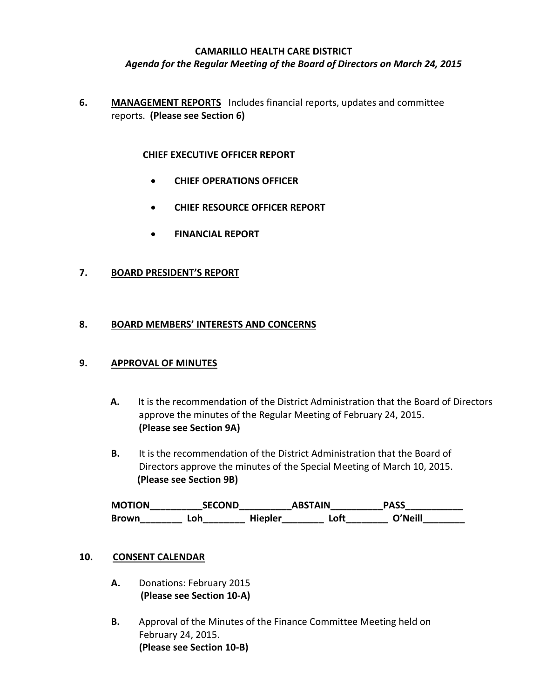#### **CAMARILLO HEALTH CARE DISTRICT**

### *Agenda for the Regular Meeting of the Board of Directors on March 24, 2015*

**6. MANAGEMENT REPORTS** Includes financial reports, updates and committee reports. **(Please see Section 6)**

#### **CHIEF EXECUTIVE OFFICER REPORT**

- **CHIEF OPERATIONS OFFICER**
- **CHIEF RESOURCE OFFICER REPORT**
- **FINANCIAL REPORT**

#### **7. BOARD PRESIDENT'S REPORT**

#### **8. BOARD MEMBERS' INTERESTS AND CONCERNS**

#### **9. APPROVAL OF MINUTES**

- **A.** It is the recommendation of the District Administration that the Board of Directors approve the minutes of the Regular Meeting of February 24, 2015. **(Please see Section 9A)**
- **B.** It is the recommendation of the District Administration that the Board of Directors approve the minutes of the Special Meeting of March 10, 2015.  **(Please see Section 9B)**

**MOTION\_\_\_\_\_\_\_\_\_\_SECOND\_\_\_\_\_\_\_\_\_\_ABSTAIN\_\_\_\_\_\_\_\_\_\_PASS\_\_\_\_\_\_\_\_\_\_\_ Brown\_\_\_\_\_\_\_\_ Loh\_\_\_\_\_\_\_\_ Hiepler\_\_\_\_\_\_\_\_ Loft\_\_\_\_\_\_\_\_ O'Neill\_\_\_\_\_\_\_\_**

#### **10. CONSENT CALENDAR**

- **A.** Donations: February 2015  **(Please see Section 10-A)**
- **B.** Approval of the Minutes of the Finance Committee Meeting held on February 24, 2015. **(Please see Section 10-B)**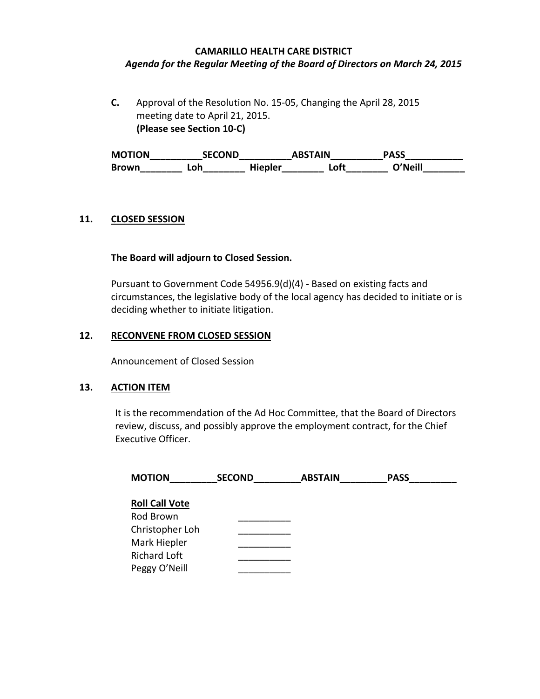## **CAMARILLO HEALTH CARE DISTRICT** *Agenda for the Regular Meeting of the Board of Directors on March 24, 2015*

**C.** Approval of the Resolution No. 15-05, Changing the April 28, 2015 meeting date to April 21, 2015.  **(Please see Section 10-C)**

**MOTION\_\_\_\_\_\_\_\_\_\_SECOND\_\_\_\_\_\_\_\_\_\_ABSTAIN\_\_\_\_\_\_\_\_\_\_PASS\_\_\_\_\_\_\_\_\_\_\_ Brown\_\_\_\_\_\_\_\_ Loh\_\_\_\_\_\_\_\_ Hiepler\_\_\_\_\_\_\_\_ Loft\_\_\_\_\_\_\_\_ O'Neill\_\_\_\_\_\_\_\_**

## **11. CLOSED SESSION**

## **The Board will adjourn to Closed Session.**

Pursuant to Government Code 54956.9(d)(4) - Based on existing facts and circumstances, the legislative body of the local agency has decided to initiate or is deciding whether to initiate litigation.

## **12. RECONVENE FROM CLOSED SESSION**

Announcement of Closed Session

## **13. ACTION ITEM**

It is the recommendation of the Ad Hoc Committee, that the Board of Directors review, discuss, and possibly approve the employment contract, for the Chief Executive Officer.

| <b>MOTION</b>         | <b>SECOND</b> | <b>ABSTAIN</b> | <b>PASS</b> |
|-----------------------|---------------|----------------|-------------|
| <b>Roll Call Vote</b> |               |                |             |
| Rod Brown             |               |                |             |
| Christopher Loh       |               |                |             |
| Mark Hiepler          |               |                |             |
| <b>Richard Loft</b>   |               |                |             |
| Peggy O'Neill         |               |                |             |